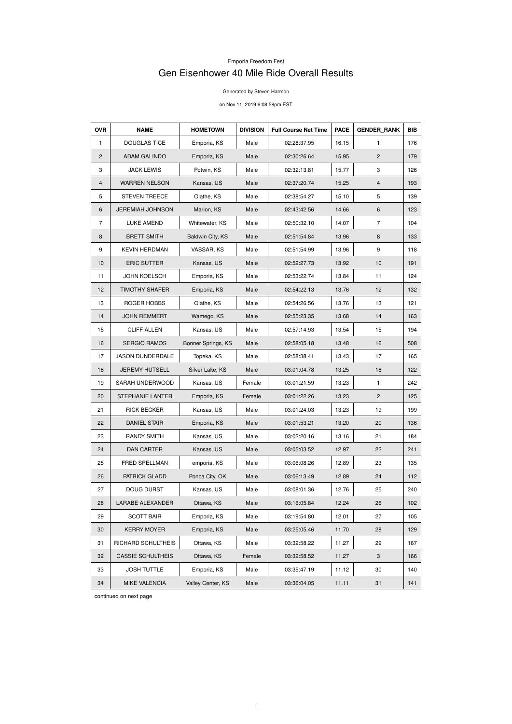## Emporia Freedom Fest

## Gen Eisenhower 40 Mile Ride Overall Results

Generated by Steven Harmon

on Nov 11, 2019 6:08:58pm EST

| <b>OVR</b>     | <b>NAME</b>             | <b>HOMETOWN</b>    | <b>DIVISION</b> | <b>Full Course Net Time</b> | <b>PACE</b> | <b>GENDER RANK</b> | <b>BIB</b> |
|----------------|-------------------------|--------------------|-----------------|-----------------------------|-------------|--------------------|------------|
| $\mathbf{1}$   | <b>DOUGLAS TICE</b>     | Emporia, KS        | Male            | 02:28:37.95                 | 16.15       | 1                  | 176        |
| $\overline{2}$ | <b>ADAM GALINDO</b>     | Emporia, KS        | Male            | 02:30:26.64                 | 15.95       | $\mathbf{2}$       | 179        |
| 3              | <b>JACK LEWIS</b>       | Potwin, KS         | Male            | 02:32:13.81                 | 15.77       | 3                  | 126        |
| 4              | <b>WARREN NELSON</b>    | Kansas, US         | Male            | 02:37:20.74                 | 15.25       | 4                  | 193        |
| 5              | <b>STEVEN TREECE</b>    | Olathe, KS         | Male            | 02:38:54.27                 | 15.10       | 5                  | 139        |
| 6              | <b>JEREMIAH JOHNSON</b> | Marion, KS         | Male            | 02:43:42.56                 | 14.66       | 6                  | 123        |
| $\overline{7}$ | LUKE AMEND              | Whitewater, KS     | Male            | 02:50:32.10                 | 14.07       | $\overline{7}$     | 104        |
| 8              | <b>BRETT SMITH</b>      | Baldwin City, KS   | Male            | 02:51:54.84                 | 13.96       | 8                  | 133        |
| 9              | <b>KEVIN HERDMAN</b>    | VASSAR, KS         | Male            | 02:51:54.99                 | 13.96       | 9                  | 118        |
| 10             | <b>ERIC SUTTER</b>      | Kansas, US         | Male            | 02:52:27.73                 | 13.92       | 10                 | 191        |
| 11             | <b>JOHN KOELSCH</b>     | Emporia, KS        | Male            | 02:53:22.74                 | 13.84       | 11                 | 124        |
| 12             | <b>TIMOTHY SHAFER</b>   | Emporia, KS        | Male            | 02:54:22.13                 | 13.76       | 12                 | 132        |
| 13             | ROGER HOBBS             | Olathe, KS         | Male            | 02:54:26.56                 | 13.76       | 13                 | 121        |
| 14             | <b>JOHN REMMERT</b>     | Wamego, KS         | Male            | 02:55:23.35                 | 13.68       | 14                 | 163        |
| 15             | <b>CLIFF ALLEN</b>      | Kansas, US         | Male            | 02:57:14.93                 | 13.54       | 15                 | 194        |
| 16             | <b>SERGIO RAMOS</b>     | Bonner Springs, KS | Male            | 02:58:05.18                 | 13.48       | 16                 | 508        |
| 17             | <b>JASON DUNDERDALE</b> | Topeka, KS         | Male            | 02:58:38.41                 | 13.43       | 17                 | 165        |
| 18             | <b>JEREMY HUTSELL</b>   | Silver Lake, KS    | Male            | 03:01:04.78                 | 13.25       | 18                 | 122        |
| 19             | SARAH UNDERWOOD         | Kansas, US         | Female          | 03:01:21.59                 | 13.23       | 1                  | 242        |
| 20             | STEPHANIE LANTER        | Emporia, KS        | Female          | 03:01:22.26                 | 13.23       | 2                  | 125        |
| 21             | <b>RICK BECKER</b>      | Kansas, US         | Male            | 03:01:24.03                 | 13.23       | 19                 | 199        |
| 22             | <b>DANIEL STAIR</b>     | Emporia, KS        | Male            | 03:01:53.21                 | 13.20       | 20                 | 136        |
| 23             | <b>RANDY SMITH</b>      | Kansas, US         | Male            | 03:02:20.16                 | 13.16       | 21                 | 184        |
| 24             | <b>DAN CARTER</b>       | Kansas, US         | Male            | 03:05:03.52                 | 12.97       | 22                 | 241        |
| 25             | FRED SPELLMAN           | emporia, KS        | Male            | 03:06:08.26                 | 12.89       | 23                 | 135        |
| 26             | PATRICK GLADD           | Ponca City, OK     | Male            | 03:06:13.49                 | 12.89       | 24                 | 112        |
| 27             | <b>DOUG DURST</b>       | Kansas, US         | Male            | 03:08:01.36                 | 12.76       | 25                 | 240        |
| 28             | <b>LARABE ALEXANDER</b> | Ottawa, KS         | Male            | 03:16:05.84                 | 12.24       | 26                 | 102        |
| 29             | <b>SCOTT BAIR</b>       | Emporia, KS        | Male            | 03:19:54.80                 | 12.01       | 27                 | 105        |
| 30             | <b>KERRY MOYER</b>      | Emporia, KS        | Male            | 03:25:05.46                 | 11.70       | 28                 | 129        |
| 31             | RICHARD SCHULTHEIS      | Ottawa, KS         | Male            | 03:32:58.22                 | 11.27       | 29                 | 167        |

| 32 | <b>CASSIE SCHULTHEIS</b> | Ottawa, KS        | Female | 03:32:58.52 | 11.27 |    | 166   |
|----|--------------------------|-------------------|--------|-------------|-------|----|-------|
| 33 | <b>JOSH TUTTLE</b>       | Emporia, KS       | Male   | 03:35:47.19 | 11.12 | 30 | 140 l |
| 34 | <b>MIKE VALENCIA</b>     | Valley Center, KS | Male   | 03:36:04.05 | 11.11 | 31 | 141   |

continued on next page